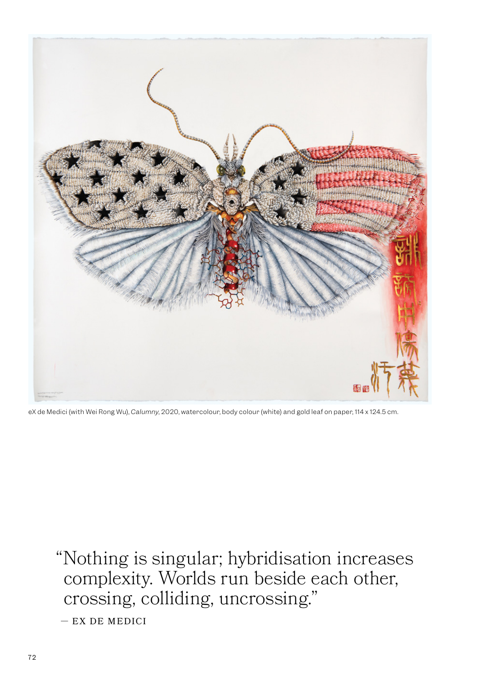

eX de Medici (with Wei Rong Wu), *Calumny*, 2020, watercolour, body colour (white) and gold leaf on paper, 114 x 124.5 cm.

"Nothing is singular; hybridisation increases complexity. Worlds run beside each other, crossing, colliding, uncrossing." — EX DE MEDICI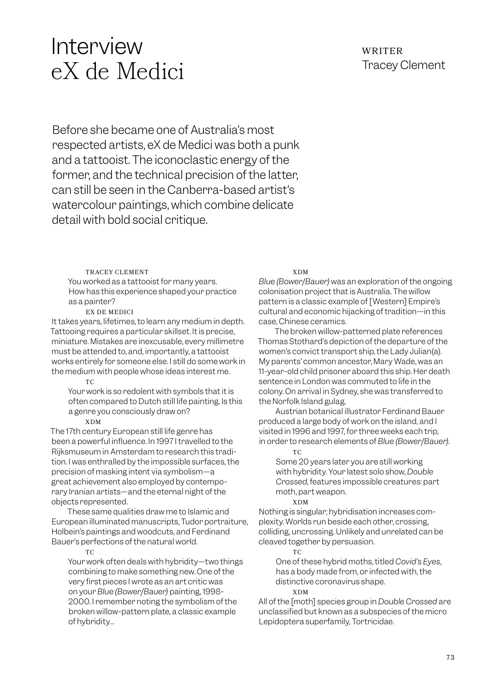# Interview eX de Medici

## WRITER Tracey Clement

Before she became one of Australia's most respected artists, eX de Medici was both a punk and a tattooist. The iconoclastic energy of the former, and the technical precision of the latter, can still be seen in the Canberra-based artist's watercolour paintings, which combine delicate detail with bold social critique.

#### TRACEY CLEMENT

You worked as a tattooist for many years. How has this experience shaped your practice as a painter?

#### EX DE MEDICI

It takes years, lifetimes, to learn any medium in depth. Tattooing requires a particular skillset. It is precise, miniature. Mistakes are inexcusable, every millimetre must be attended to, and, importantly, a tattooist works entirely for someone else. I still do some work in the medium with people whose ideas interest me.

#### TC

Your work is so redolent with symbols that it is often compared to Dutch still life painting. Is this a genre you consciously draw on?

#### XDM

The 17th century European still life genre has been a powerful influence. In 1997 I travelled to the Rijksmuseum in Amsterdam to research this tradition. I was enthralled by the impossible surfaces, the precision of masking intent via symbolism—a great achievement also employed by contemporary Iranian artists—and the eternal night of the objects represented.

These same qualities draw me to Islamic and European illuminated manuscripts, Tudor portraiture, Holbein's paintings and woodcuts, and Ferdinand Bauer's perfections of the natural world.

#### T<sub>C</sub>

Your work often deals with hybridity—two things combining to make something new. One of the very first pieces I wrote as an art critic was on your *Blue (Bower/Bauer)* painting, 1998- 2000. I remember noting the symbolism of the broken willow-pattern plate, a classic example of hybridity…

#### XDM

*Blue (Bower/Bauer)* was an exploration of the ongoing colonisation project that is Australia. The willow pattern is a classic example of [Western] Empire's cultural and economic hijacking of tradition—in this case, Chinese ceramics.

The broken willow-patterned plate references Thomas Stothard's depiction of the departure of the women's convict transport ship, the Lady Julian(a). My parents' common ancestor, Mary Wade, was an 11-year-old child prisoner aboard this ship. Her death sentence in London was commuted to life in the colony. On arrival in Sydney, she was transferred to the Norfolk Island gulag.

Austrian botanical illustrator Ferdinand Bauer produced a large body of work on the island, and I visited in 1996 and 1997, for three weeks each trip, in order to research elements of *Blue (Bower/Bauer)*.

#### TC

Some 20 years later you are still working with hybridity. Your latest solo show, *Double Crossed*, features impossible creatures: part moth, part weapon.

#### XDM

Nothing is singular; hybridisation increases complexity. Worlds run beside each other, crossing, colliding, uncrossing. Unlikely and unrelated can be cleaved together by persuasion.

#### TC

One of these hybrid moths, titled *Covid's Eyes*, has a body made from, or infected with, the distinctive coronavirus shape.

#### XDM

All of the [moth] species group in *Double Crossed* are unclassified but known as a subspecies of the micro Lepidoptera superfamily, Tortricidae.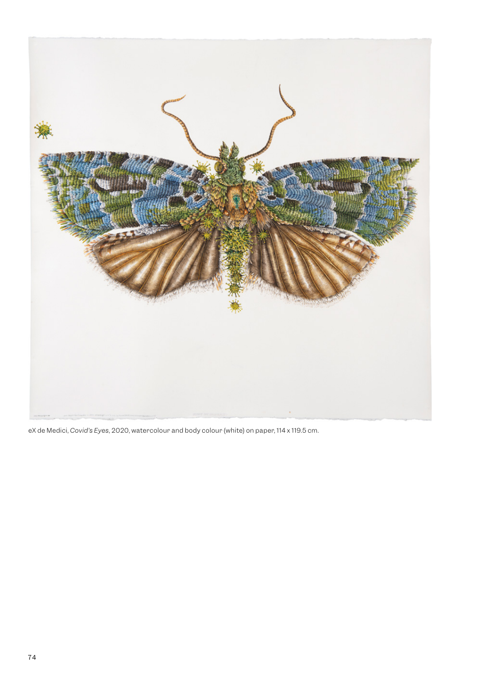

eX de Medici, *Covid's Eyes*, 2020, watercolour and body colour (white) on paper, 114 x 119.5 cm.